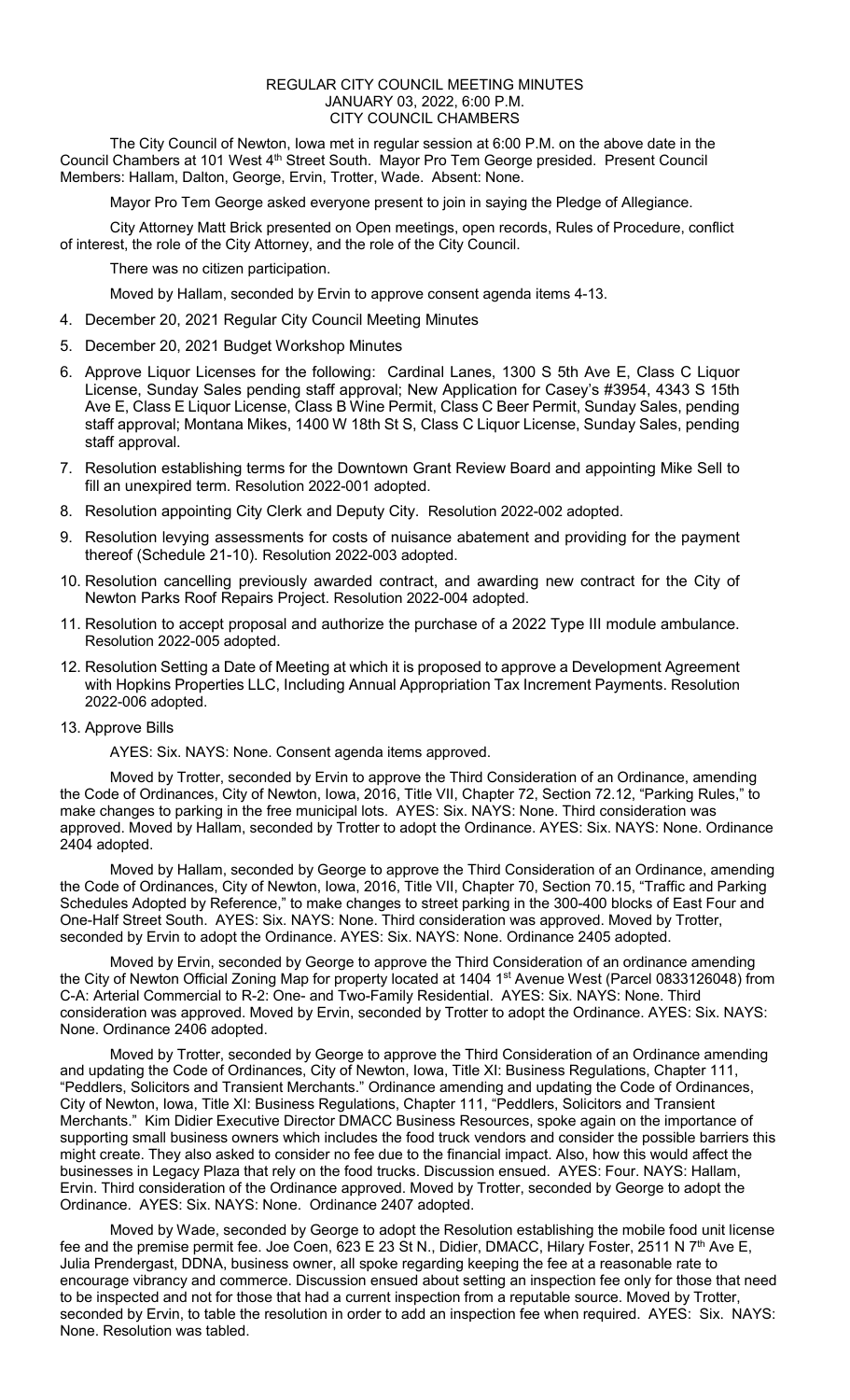## REGULAR CITY COUNCIL MEETING MINUTES JANUARY 03, 2022, 6:00 P.M. CITY COUNCIL CHAMBERS

The City Council of Newton, Iowa met in regular session at 6:00 P.M. on the above date in the Council Chambers at 101 West 4<sup>th</sup> Street South. Mayor Pro Tem George presided. Present Council Members: Hallam, Dalton, George, Ervin, Trotter, Wade. Absent: None.

Mayor Pro Tem George asked everyone present to join in saying the Pledge of Allegiance.

City Attorney Matt Brick presented on Open meetings, open records, Rules of Procedure, conflict of interest, the role of the City Attorney, and the role of the City Council.

There was no citizen participation.

Moved by Hallam, seconded by Ervin to approve consent agenda items 4-13.

4. December 20, 2021 Regular City Council Meeting Minutes

- 5. December 20, 2021 Budget Workshop Minutes
- 6. Approve Liquor Licenses for the following: Cardinal Lanes, 1300 S 5th Ave E, Class C Liquor License, Sunday Sales pending staff approval; New Application for Casey's #3954, 4343 S 15th Ave E, Class E Liquor License, Class B Wine Permit, Class C Beer Permit, Sunday Sales, pending staff approval; Montana Mikes, 1400 W 18th St S, Class C Liquor License, Sunday Sales, pending staff approval.
- 7. Resolution establishing terms for the Downtown Grant Review Board and appointing Mike Sell to fill an unexpired term. Resolution 2022-001 adopted.
- 8. Resolution appointing City Clerk and Deputy City. Resolution 2022-002 adopted.
- 9. Resolution levying assessments for costs of nuisance abatement and providing for the payment thereof (Schedule 21-10). Resolution 2022-003 adopted.
- 10. Resolution cancelling previously awarded contract, and awarding new contract for the City of Newton Parks Roof Repairs Project. Resolution 2022-004 adopted.
- 11. Resolution to accept proposal and authorize the purchase of a 2022 Type III module ambulance. Resolution 2022-005 adopted.
- 12. Resolution Setting a Date of Meeting at which it is proposed to approve a Development Agreement with Hopkins Properties LLC, Including Annual Appropriation Tax Increment Payments. Resolution 2022-006 adopted.

## 13. Approve Bills

AYES: Six. NAYS: None. Consent agenda items approved.

Moved by Trotter, seconded by Ervin to approve the Third Consideration of an Ordinance, amending the Code of Ordinances, City of Newton, Iowa, 2016, Title VII, Chapter 72, Section 72.12, "Parking Rules," to make changes to parking in the free municipal lots. AYES: Six. NAYS: None. Third consideration was approved. Moved by Hallam, seconded by Trotter to adopt the Ordinance. AYES: Six. NAYS: None. Ordinance 2404 adopted.

Moved by Hallam, seconded by George to approve the Third Consideration of an Ordinance, amending the Code of Ordinances, City of Newton, Iowa, 2016, Title VII, Chapter 70, Section 70.15, "Traffic and Parking Schedules Adopted by Reference," to make changes to street parking in the 300-400 blocks of East Four and One-Half Street South. AYES: Six. NAYS: None. Third consideration was approved. Moved by Trotter, seconded by Ervin to adopt the Ordinance. AYES: Six. NAYS: None. Ordinance 2405 adopted.

Moved by Ervin, seconded by George to approve the Third Consideration of an ordinance amending the City of Newton Official Zoning Map for property located at 1404 1<sup>st</sup> Avenue West (Parcel 0833126048) from C-A: Arterial Commercial to R-2: One- and Two-Family Residential. AYES: Six. NAYS: None. Third consideration was approved. Moved by Ervin, seconded by Trotter to adopt the Ordinance. AYES: Six. NAYS: None. Ordinance 2406 adopted.

Moved by Trotter, seconded by George to approve the Third Consideration of an Ordinance amending and updating the Code of Ordinances, City of Newton, Iowa, Title XI: Business Regulations, Chapter 111, "Peddlers, Solicitors and Transient Merchants." Ordinance amending and updating the Code of Ordinances, City of Newton, Iowa, Title XI: Business Regulations, Chapter 111, "Peddlers, Solicitors and Transient Merchants." Kim Didier Executive Director DMACC Business Resources, spoke again on the importance of supporting small business owners which includes the food truck vendors and consider the possible barriers this might create. They also asked to consider no fee due to the financial impact. Also, how this would affect the businesses in Legacy Plaza that rely on the food trucks. Discussion ensued. AYES: Four. NAYS: Hallam, Ervin. Third consideration of the Ordinance approved. Moved by Trotter, seconded by George to adopt the Ordinance. AYES: Six. NAYS: None. Ordinance 2407 adopted.

Moved by Wade, seconded by George to adopt the Resolution establishing the mobile food unit license fee and the premise permit fee. Joe Coen, 623 E 23 St N., Didier, DMACC, Hilary Foster, 2511 N 7<sup>th</sup> Ave E, Julia Prendergast, DDNA, business owner, all spoke regarding keeping the fee at a reasonable rate to encourage vibrancy and commerce. Discussion ensued about setting an inspection fee only for those that need to be inspected and not for those that had a current inspection from a reputable source. Moved by Trotter, seconded by Ervin, to table the resolution in order to add an inspection fee when required. AYES: Six. NAYS: None. Resolution was tabled.